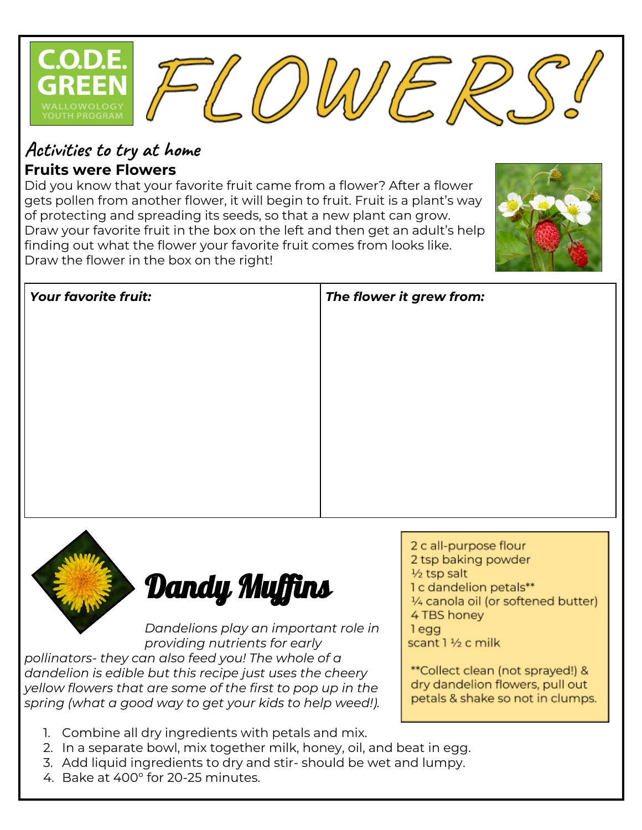

## **Activities to try at home Fruits were Flowers**

Did you know that your favorite fruit came from a flower? After a flower gets pollen from another flower, it will begin to fruit. Fruit is a plant's way of protecting and spreading its seeds, so that a new plant can grow. Draw your favorite fruit in the box on the left and then get an adult's help finding out what the flower your favorite fruit comes from looks like. Draw the flower in the box on the right!





Dandy Muffins

*Dandelions play an important role in providing nutrients for early pollinators- they can also feed you! The whole of a dandelion is edible but this recipe just uses the cheery yellow flowers that are some of the first to pop up in the spring (what a good way to get your kids to help weed!).*

- 1. Combine all dry ingredients with petals and mix.
- 2. In a separate bowl, mix together milk, honey, oil, and beat in egg.
- 3. Add liquid ingredients to dry and stir- should be wet and lumpy.
- 4. Bake at 400° for 20-25 minutes.
- 2 c all-purpose flour 2 tsp baking powder 1/2 tsp salt 1 c dandelion petals\*\* 1/4 canola oil (or softened butter) 4 TBS honey
- 1egg

scant 1 1/2 c milk

\*\*Collect clean (not sprayed!) & dry dandelion flowers, pull out petals & shake so not in clumps.